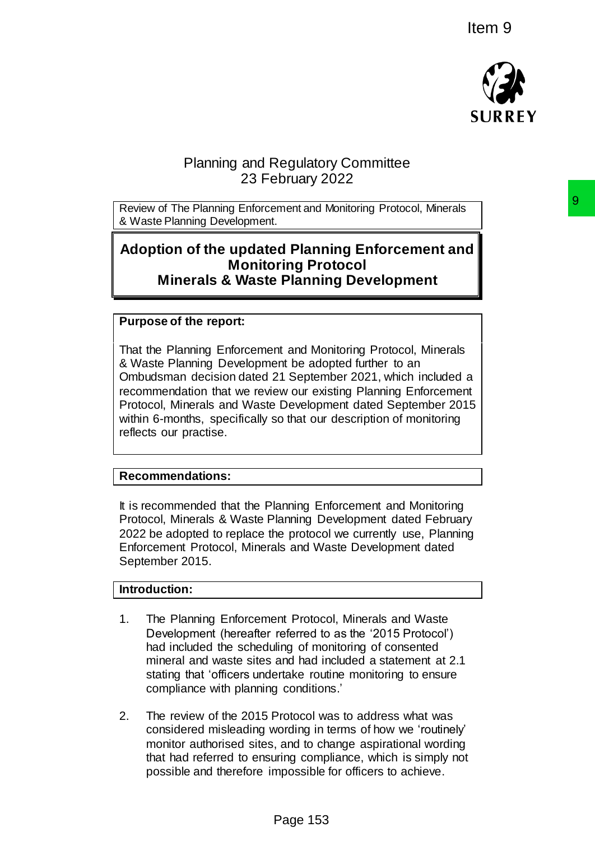

# Planning and Regulatory Committee 23 February 2022

Review of The Planning Enforcement and Monitoring Protocol, Minerals & Waste Planning Development.

# **Adoption of the updated Planning Enforcement and Monitoring Protocol Minerals & Waste Planning Development**

## **Purpose of the report:**

That the Planning Enforcement and Monitoring Protocol, Minerals & Waste Planning Development be adopted further to an Ombudsman decision dated 21 September 2021, which included a recommendation that we review our existing Planning Enforcement Protocol, Minerals and Waste Development dated September 2015 within 6-months, specifically so that our description of monitoring reflects our practise. ment and Monitoring Protocol, Mnerals<br>
Paranning **Enforcement and<br>
Paranning Development**<br> **Paranning Development**<br> **Paranning Development**<br>
Ant and Monitoring Protocol, Minerals<br>
ant and Monitoring Protocol, Minerals<br>
21

### **Recommendations:**

It is recommended that the Planning Enforcement and Monitoring Protocol, Minerals & Waste Planning Development dated February 2022 be adopted to replace the protocol we currently use, Planning Enforcement Protocol, Minerals and Waste Development dated September 2015.

## **Introduction:**

- 1. The Planning Enforcement Protocol, Minerals and Waste Development (hereafter referred to as the '2015 Protocol') had included the scheduling of monitoring of consented mineral and waste sites and had included a statement at 2.1 stating that 'officers undertake routine monitoring to ensure compliance with planning conditions.'
- 2. The review of the 2015 Protocol was to address what was considered misleading wording in terms of how we 'routinely' monitor authorised sites, and to change aspirational wording that had referred to ensuring compliance, which is simply not possible and therefore impossible for officers to achieve.